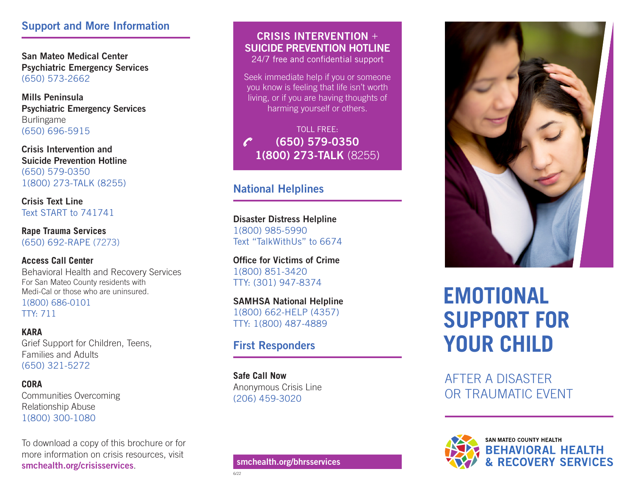### Support and More Information

San Mateo Medical Center Psychiatric Emergency Services (650) 573-2662

Mills Peninsula Psychiatric Emergency Services Burlingame (650) 696-5915

Crisis Intervention and Suicide Prevention Hotline (650) 579-0350 1(800) 273-TALK (8255)

Crisis Text Line Text START to 741741

**Rape Trauma Services** (650) 692-RAPE (7273)

**Access Call Center** Behavioral Health and Recovery Services For San Mateo County residents with Medi-Cal or those who are uninsured. 1(800) 686-0101 TTY: 711

**KARA** Grief Support for Children, Teens, Families and Adults (650) 321-5272

**CORA** Communities Overcoming Relationship Abuse 1(800) 300-1080

To download a copy of this brochure or for more information on crisis resources, visit smchealth.org/crisisservices.

## CRISIS INTERVENTION + SUICIDE PREVENTION HOTLINE

24/7 free and confidential support

Seek immediate help if you or someone you know is feeling that life isn't worth living, or if you are having thoughts of harming yourself or others.

TOLL FREE: (650) 579-0350 1(800) 273-TALK (8255)

## National Helplines

Disaster Distress Helpline 1(800) 985-5990 Text "TalkWithUs" to 6674

Office for Victims of Crime 1(800) 851-3420 TTY: (301) 947-8374

SAMHSA National Helpline 1(800) 662-HELP (4357) TTY: 1(800) 487-4889

## First Responders

**Safe Call Now** Anonymous Crisis Line (206) 459-3020

6/22



# **EMOTIONAL SUPPORT FOR YOUR CHILD**

AFTER A DISASTER OR TRAUMATIC EVENT